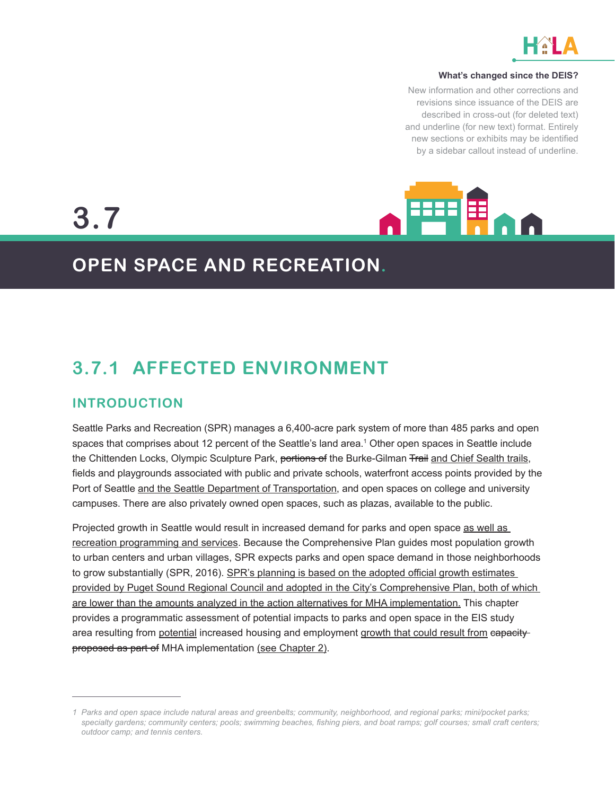

#### **What's changed since the DEIS?**

New information and other corrections and revisions since issuance of the DEIS are described in cross-out (for deleted text) and underline (for new text) format. Entirely new sections or exhibits may be identified by a sidebar callout instead of underline.



# **3.7**

## **OPEN SPACE AND RECREATION.**

## **3.7.1 AFFECTED ENVIRONMENT**

### **INTRODUCTION**

Seattle Parks and Recreation (SPR) manages a 6,400-acre park system of more than 485 parks and open spaces that comprises about 12 percent of the Seattle's land area.<sup>1</sup> Other open spaces in Seattle include the Chittenden Locks, Olympic Sculpture Park, portions of the Burke-Gilman Trail and Chief Sealth trails, fields and playgrounds associated with public and private schools, waterfront access points provided by the Port of Seattle and the Seattle Department of Transportation, and open spaces on college and university campuses. There are also privately owned open spaces, such as plazas, available to the public.

Projected growth in Seattle would result in increased demand for parks and open space as well as recreation programming and services. Because the Comprehensive Plan guides most population growth to urban centers and urban villages, SPR expects parks and open space demand in those neighborhoods to grow substantially (SPR, 2016). SPR's planning is based on the adopted official growth estimates provided by Puget Sound Regional Council and adopted in the City's Comprehensive Plan, both of which are lower than the amounts analyzed in the action alternatives for MHA implementation. This chapter provides a programmatic assessment of potential impacts to parks and open space in the EIS study area resulting from potential increased housing and employment growth that could result from eapacityproposed as part of MHA implementation (see Chapter 2).

*<sup>1</sup> Parks and open space include natural areas and greenbelts; community, neighborhood, and regional parks; mini/pocket parks; specialty gardens; community centers; pools; swimming beaches, fishing piers, and boat ramps; golf courses; small craft centers; outdoor camp; and tennis centers.*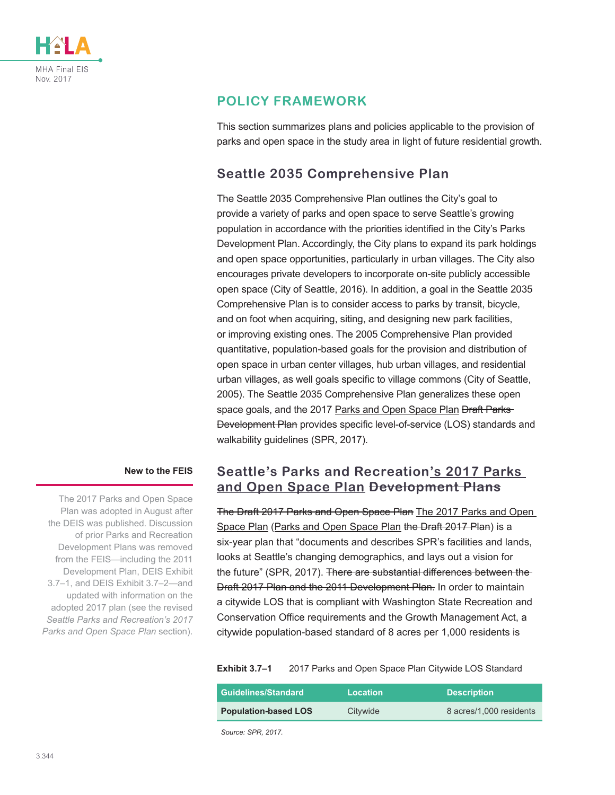

### **POLICY FRAMEWORK**

This section summarizes plans and policies applicable to the provision of parks and open space in the study area in light of future residential growth.

### **Seattle 2035 Comprehensive Plan**

The Seattle 2035 Comprehensive Plan outlines the City's goal to provide a variety of parks and open space to serve Seattle's growing population in accordance with the priorities identified in the City's Parks Development Plan. Accordingly, the City plans to expand its park holdings and open space opportunities, particularly in urban villages. The City also encourages private developers to incorporate on-site publicly accessible open space (City of Seattle, 2016). In addition, a goal in the Seattle 2035 Comprehensive Plan is to consider access to parks by transit, bicycle, and on foot when acquiring, siting, and designing new park facilities, or improving existing ones. The 2005 Comprehensive Plan provided quantitative, population-based goals for the provision and distribution of open space in urban center villages, hub urban villages, and residential urban villages, as well goals specific to village commons (City of Seattle, 2005). The Seattle 2035 Comprehensive Plan generalizes these open space goals, and the 2017 Parks and Open Space Plan Braft Parks-Development Plan provides specific level-of-service (LOS) standards and walkability guidelines (SPR, 2017).

#### **New to the FEIS**

The 2017 Parks and Open Space Plan was adopted in August after the DEIS was published. Discussion of prior Parks and Recreation Development Plans was removed from the FEIS—including the 2011 Development Plan, DEIS Exhibit 3.7–1, and DEIS Exhibit 3.7–2—and updated with information on the adopted 2017 plan (see the revised *Seattle Parks and Recreation's 2017 Parks and Open Space Plan* section).

### **Seattle's Parks and Recreation's 2017 Parks and Open Space Plan Development Plans**

The Draft 2017 Parks and Open Space Plan The 2017 Parks and Open Space Plan (Parks and Open Space Plan the Draft 2017 Plan) is a six-year plan that "documents and describes SPR's facilities and lands, looks at Seattle's changing demographics, and lays out a vision for the future" (SPR, 2017). There are substantial differences between the Draft 2017 Plan and the 2011 Development Plan. In order to maintain a citywide LOS that is compliant with Washington State Recreation and Conservation Office requirements and the Growth Management Act, a citywide population-based standard of 8 acres per 1,000 residents is

#### **Exhibit 3.7–1** 2017 Parks and Open Space Plan Citywide LOS Standard

<span id="page-1-0"></span>

| <b>Guidelines/Standard</b>  | <b>Location</b> | <b>Description</b>      |
|-----------------------------|-----------------|-------------------------|
| <b>Population-based LOS</b> | Citywide        | 8 acres/1,000 residents |

*Source: SPR, 2017.*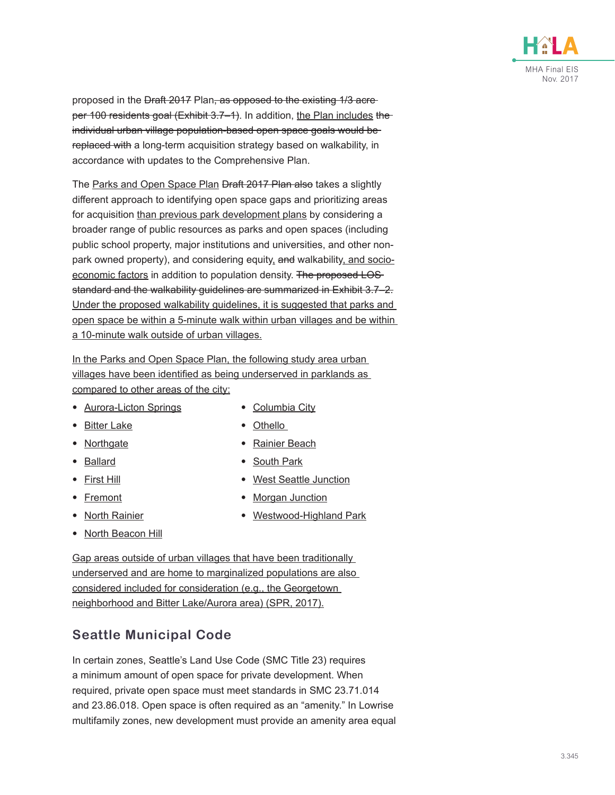

proposed in the Draft 2017 Plan, as opposed to the existing 1/3 acreper 100 residents goal (Exhibit 3.7-1). In addition, the Plan includes the individual urban village population-based open space goals would be replaced with a long-term acquisition strategy based on walkability, in accordance with updates to the Comprehensive Plan.

The Parks and Open Space Plan Draft 2017 Plan also takes a slightly different approach to identifying open space gaps and prioritizing areas for acquisition than previous park development plans by considering a broader range of public resources as parks and open spaces (including public school property, major institutions and universities, and other nonpark owned property), and considering equity, and walkability, and socioeconomic factors in addition to population density. The proposed LOSstandard and the walkability guidelines are summarized in Exhibit 3.7–2. Under the proposed walkability guidelines, it is suggested that parks and open space be within a 5-minute walk within urban villages and be within a 10-minute walk outside of urban villages.

In the Parks and Open Space Plan, the following study area urban villages have been identified as being underserved in parklands as compared to other areas of the city:

- Aurora-Licton Springs
- Bitter Lake
- Northgate
- Ballard
- First Hill
- Fremont
- North Rainier
- **North Beacon Hill**
- Columbia City
- Othello
- Rainier Beach
- South Park
- West Seattle Junction
- **Morgan Junction**
- Westwood-Highland Park

Gap areas outside of urban villages that have been traditionally underserved and are home to marginalized populations are also considered included for consideration (e.g., the Georgetown neighborhood and Bitter Lake/Aurora area) (SPR, 2017).

### **Seattle Municipal Code**

In certain zones, Seattle's Land Use Code (SMC Title 23) requires a minimum amount of open space for private development. When required, private open space must meet standards in SMC 23.71.014 and 23.86.018. Open space is often required as an "amenity." In Lowrise multifamily zones, new development must provide an amenity area equal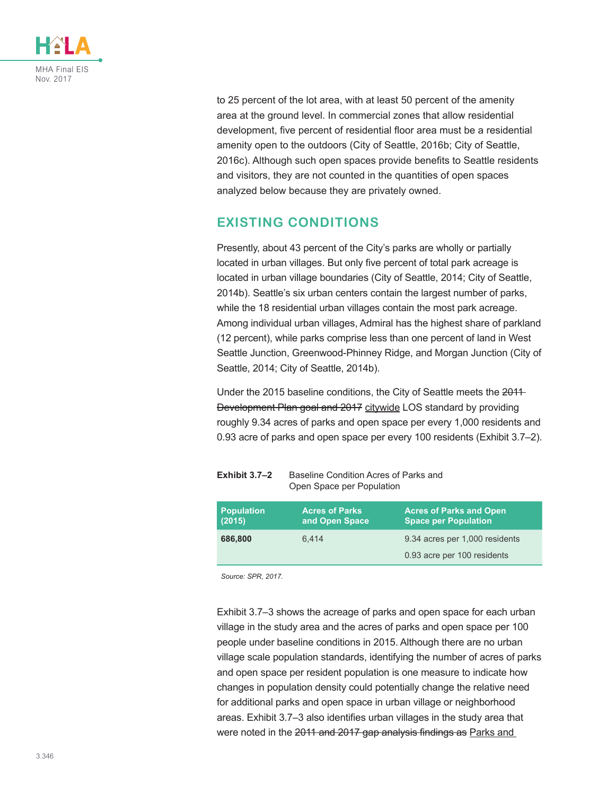

to 25 percent of the lot area, with at least 50 percent of the amenity area at the ground level. In commercial zones that allow residential development, five percent of residential floor area must be a residential amenity open to the outdoors (City of Seattle, 2016b; City of Seattle, 2016c). Although such open spaces provide benefits to Seattle residents and visitors, they are not counted in the quantities of open spaces analyzed below because they are privately owned.

### **EXISTING CONDITIONS**

Presently, about 43 percent of the City's parks are wholly or partially located in urban villages. But only five percent of total park acreage is located in urban village boundaries (City of Seattle, 2014; City of Seattle, 2014b). Seattle's six urban centers contain the largest number of parks, while the 18 residential urban villages contain the most park acreage. Among individual urban villages, Admiral has the highest share of parkland (12 percent), while parks comprise less than one percent of land in West Seattle Junction, Greenwood-Phinney Ridge, and Morgan Junction (City of Seattle, 2014; City of Seattle, 2014b).

Under the 2015 baseline conditions, the City of Seattle meets the 2011 Development Plan goal and 2017 citywide LOS standard by providing roughly 9.34 acres of parks and open space per every 1,000 residents and 0.93 acre of parks and open space per every 100 residents [\(Exhibit 3.7–2](#page-3-0)).

<span id="page-3-0"></span>

| Exhibit $3.7-2$             | Baseline Condition Acres of Parks and<br>Open Space per Population |                                                               |  |
|-----------------------------|--------------------------------------------------------------------|---------------------------------------------------------------|--|
| <b>Population</b><br>(2015) | <b>Acres of Parks</b><br>and Open Space                            | <b>Acres of Parks and Open</b><br><b>Space per Population</b> |  |
| 686,800                     | 6.414                                                              | 9.34 acres per 1,000 residents                                |  |
|                             |                                                                    | 0.93 acre per 100 residents                                   |  |

*Source: SPR, 2017.*

[Exhibit 3.7–3](#page-4-0) shows the acreage of parks and open space for each urban village in the study area and the acres of parks and open space per 100 people under baseline conditions in 2015. Although there are no urban village scale population standards, identifying the number of acres of parks and open space per resident population is one measure to indicate how changes in population density could potentially change the relative need for additional parks and open space in urban village or neighborhood areas. [Exhibit 3.7–3](#page-4-0) also identifies urban villages in the study area that were noted in the 2011 and 2017 gap analysis findings as Parks and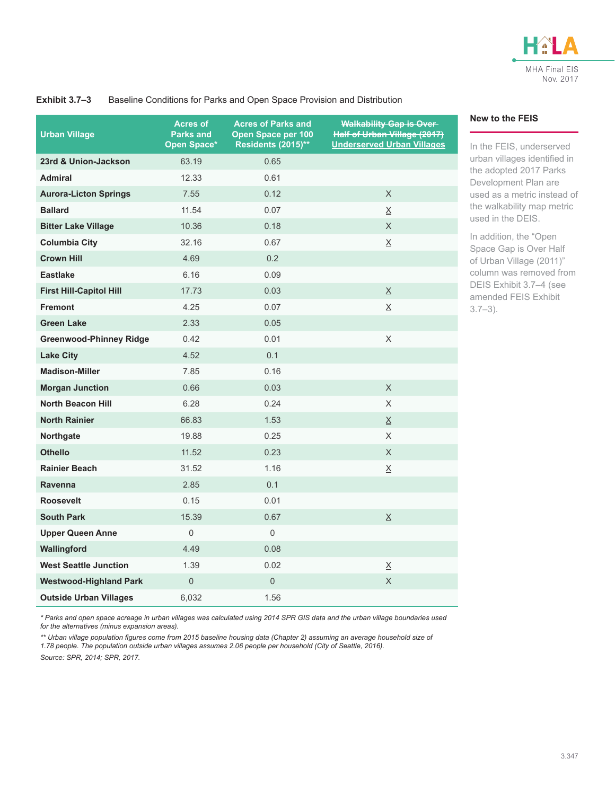

#### <span id="page-4-0"></span>**Urban Village Acres of Parks and Open Space\* Acres of Parks and Open Space per 100 Residents (2015)\*\* Walkability Gap is Over Half of Urban Village (2017) Underserved Urban Villages 23rd & Union-Jackson** 63.19 0.65 **Admiral** 12.33 0.61 **Aurora-Licton Springs** 7.55 0.12 X **Ballard** 11.54 0.07 X **Bitter Lake Village** 10.36 0.18 0.18 X **Columbia City** 32.16 0.67 X **Crown Hill** 4.69 0.2 **Eastlake** 6.16 0.09 **First Hill-Capitol Hill** 17.73 0.03 X **Fremont**  $\overline{4.25}$   $\overline{0.07}$   $\overline{0.07}$ **Green Lake** 2.33 0.05 **Greenwood-Phinney Ridge**  $0.42$  0.01 X X **Lake City 1.52 1.4.52 1.4.52 1.4.52 1.4.52 1.4.52 1.4.52 1.4.52 1.4.52 1.4.52 Madison-Miller** 7.85 0.16 **Morgan Junction** 0.66 0.03 X **North Beacon Hill** 6.28 0.24 X **North Rainier** 66.83 1.53 X **Northgate** 19.88 0.25 X **Othello** 11.52 0.23 X **Rainier Beach** 31.52 1.16 X X **Ravenna 2.85** 0.1 **Roosevelt** 0.15 0.01 **South Park** 15.39 0.67 X **Upper Queen Anne** 0 0 **Wallingford 4.49** 0.08 **West Seattle Junction** 1.39 0.02 X **Westwood-Highland Park** 0 0 0 X X **Outside Urban Villages** 6,032 1.56

#### **Exhibit 3.7–3** Baseline Conditions for Parks and Open Space Provision and Distribution

*\* Parks and open space acreage in urban villages was calculated using 2014 SPR GIS data and the urban village boundaries used for the alternatives (minus expansion areas).*

*\*\* Urban village population figures come from 2015 baseline housing data (Chapter 2) assuming an average household size of 1.78 people. The population outside urban villages assumes 2.06 people per household (City of Seattle, 2016).*

*Source: SPR, 2014; SPR, 2017.*

#### **New to the FEIS**

In the FEIS, underserved urban villages identified in the adopted 2017 Parks Development Plan are used as a metric instead of the walkability map metric used in the DEIS.

In addition, the "Open Space Gap is Over Half of Urban Village (2011)" column was removed from DEIS Exhibit 3.7–4 (see amended FEIS [Exhibit](#page-4-0)  [3.7–3\)](#page-4-0).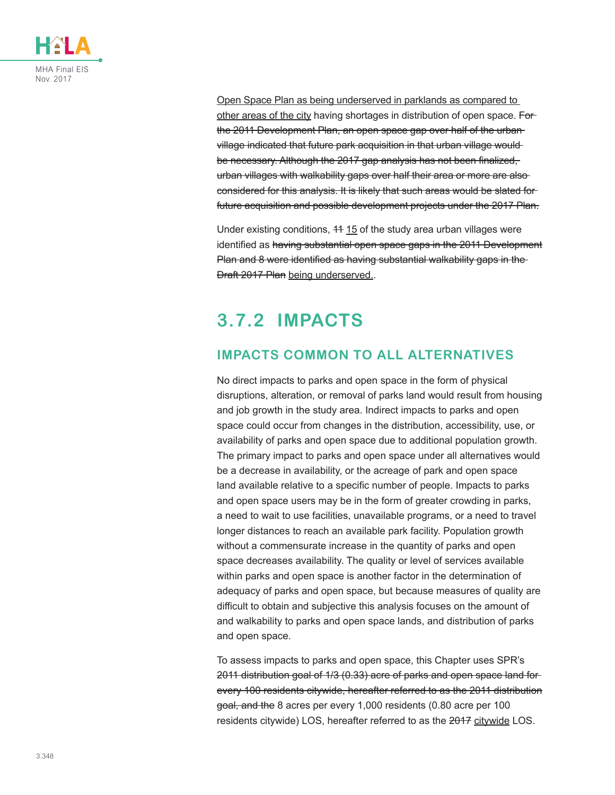

Open Space Plan as being underserved in parklands as compared to other areas of the city having shortages in distribution of open space. Forthe 2011 Development Plan, an open space gap over half of the urban village indicated that future park acquisition in that urban village would be necessary. Although the 2017 gap analysis has not been finalized, urban villages with walkability gaps over half their area or more are also considered for this analysis. It is likely that such areas would be slated for future acquisition and possible development projects under the 2017 Plan.

Under existing conditions, 44 15 of the study area urban villages were identified as having substantial open space gaps in the 2011 Development Plan and 8 were identified as having substantial walkability gaps in the Draft 2017 Plan being underserved..

## **3.7.2 IMPACTS**

### **IMPACTS COMMON TO ALL ALTERNATIVES**

No direct impacts to parks and open space in the form of physical disruptions, alteration, or removal of parks land would result from housing and job growth in the study area. Indirect impacts to parks and open space could occur from changes in the distribution, accessibility, use, or availability of parks and open space due to additional population growth. The primary impact to parks and open space under all alternatives would be a decrease in availability, or the acreage of park and open space land available relative to a specific number of people. Impacts to parks and open space users may be in the form of greater crowding in parks, a need to wait to use facilities, unavailable programs, or a need to travel longer distances to reach an available park facility. Population growth without a commensurate increase in the quantity of parks and open space decreases availability. The quality or level of services available within parks and open space is another factor in the determination of adequacy of parks and open space, but because measures of quality are difficult to obtain and subjective this analysis focuses on the amount of and walkability to parks and open space lands, and distribution of parks and open space.

To assess impacts to parks and open space, this Chapter uses SPR's 2011 distribution goal of 1/3 (0.33) acre of parks and open space land for every 100 residents citywide, hereafter referred to as the 2011 distribution goal, and the 8 acres per every 1,000 residents (0.80 acre per 100 residents citywide) LOS, hereafter referred to as the 2017 citywide LOS.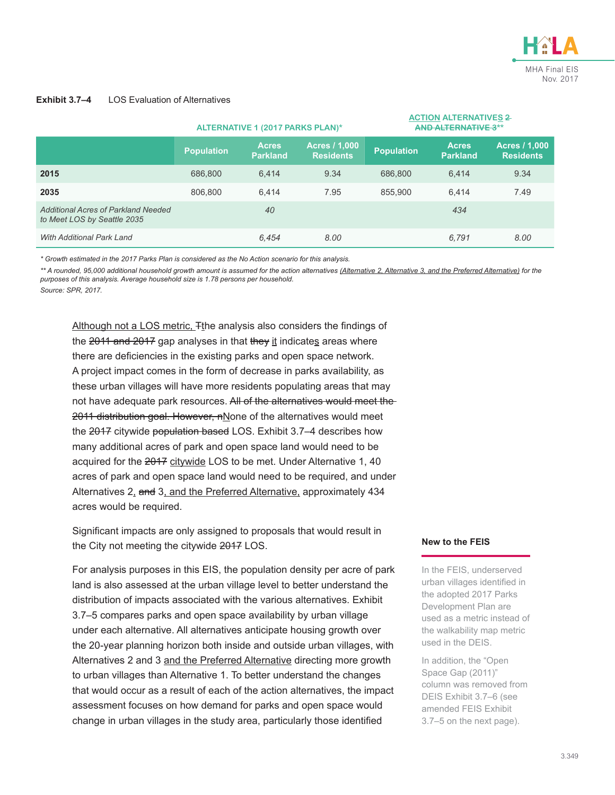

#### <span id="page-6-0"></span>**Exhibit 3.7–4** LOS Evaluation of Alternatives

|                                                                    | ALTERNATIVE 1 (2017 PARKS PLAN)* |                                 |                                          | <b>AND ALTERNATIVE 3**</b> |                                 |                                          |
|--------------------------------------------------------------------|----------------------------------|---------------------------------|------------------------------------------|----------------------------|---------------------------------|------------------------------------------|
|                                                                    | <b>Population</b>                | <b>Acres</b><br><b>Parkland</b> | <b>Acres / 1,000</b><br><b>Residents</b> | <b>Population</b>          | <b>Acres</b><br><b>Parkland</b> | <b>Acres / 1,000</b><br><b>Residents</b> |
| 2015                                                               | 686,800                          | 6.414                           | 9.34                                     | 686,800                    | 6.414                           | 9.34                                     |
| 2035                                                               | 806,800                          | 6.414                           | 7.95                                     | 855.900                    | 6.414                           | 7.49                                     |
| Additional Acres of Parkland Needed<br>to Meet LOS by Seattle 2035 |                                  | 40                              |                                          |                            | 434                             |                                          |
| With Additional Park Land                                          |                                  | 6.454                           | 8.00                                     |                            | 6.791                           | 8.00                                     |

*\* Growth estimated in the 2017 Parks Plan is considered as the No Action scenario for this analysis.*

\*\* A rounded, 95,000 additional household growth amount is assumed for the action alternatives (Alternative 2, Alternative 3, and the Preferred Alternative) for the *purposes of this analysis. Average household size is 1.78 persons per household.*

*Source: SPR, 2017.*

Although not a LOS metric. Tthe analysis also considers the findings of the 2011 and 2017 gap analyses in that they it indicates areas where there are deficiencies in the existing parks and open space network. A project impact comes in the form of decrease in parks availability, as these urban villages will have more residents populating areas that may not have adequate park resources. All of the alternatives would meet the 2011 distribution goal. However, nNone of the alternatives would meet the 2017 citywide population based LOS. Exhibit 3.7-4 describes how many additional acres of park and open space land would need to be acquired for the 2017 citywide LOS to be met. Under Alternative 1, 40 acres of park and open space land would need to be required, and under Alternatives 2, and 3, and the Preferred Alternative, approximately 434 acres would be required.

Significant impacts are only assigned to proposals that would result in the City not meeting the citywide 2017 LOS.

For analysis purposes in this EIS, the population density per acre of park land is also assessed at the urban village level to better understand the distribution of impacts associated with the various alternatives. [Exhibit](#page-7-0)  [3.7–5](#page-7-0) compares parks and open space availability by urban village under each alternative. All alternatives anticipate housing growth over the 20-year planning horizon both inside and outside urban villages, with Alternatives 2 and 3 and the Preferred Alternative directing more growth to urban villages than Alternative 1. To better understand the changes that would occur as a result of each of the action alternatives, the impact assessment focuses on how demand for parks and open space would change in urban villages in the study area, particularly those identified

#### **New to the FEIS**

**ACTION ALTERNATIVES 2** 

In the FEIS, underserved urban villages identified in the adopted 2017 Parks Development Plan are used as a metric instead of the walkability map metric used in the DEIS.

In addition, the "Open Space Gap (2011)" column was removed from DEIS Exhibit 3.7–6 (see amended FEIS [Exhibit](#page-7-0)  [3.7–5](#page-7-0) on the next page).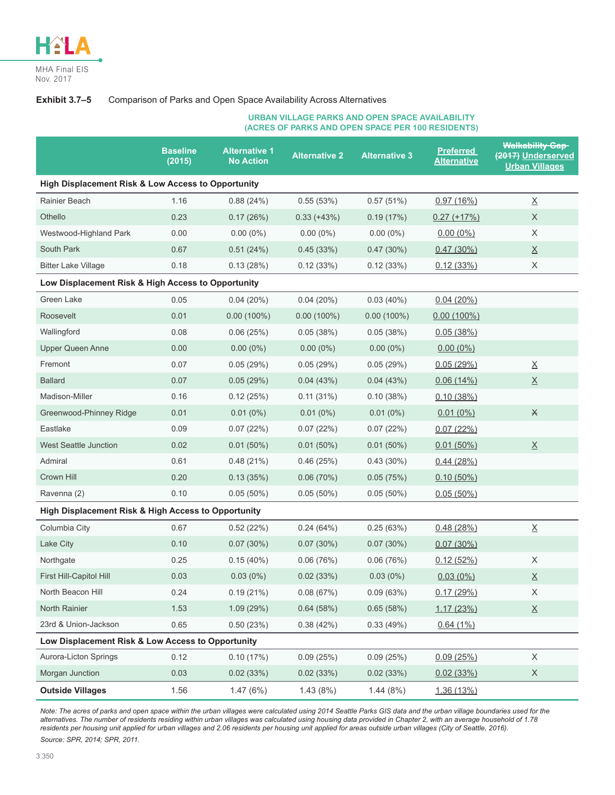

#### **Exhibit 3.7–5** Comparison of Parks and Open Space Availability Across Alternatives

#### <span id="page-7-0"></span>**URBAN VILLAGE PARKS AND OPEN SPACE AVAILABILITY (ACRES OF PARKS AND OPEN SPACE PER 100 RESIDENTS)**

|                                                     | <b>Baseline</b><br>(2015) | <b>Alternative 1</b><br><b>No Action</b> | <b>Alternative 2</b> | <b>Alternative 3</b> | <b>Preferred</b><br><b>Alternative</b> | <b>Walkability Gap</b><br>(2017) Underserved<br><b>Urban Villages</b> |
|-----------------------------------------------------|---------------------------|------------------------------------------|----------------------|----------------------|----------------------------------------|-----------------------------------------------------------------------|
| High Displacement Risk & Low Access to Opportunity  |                           |                                          |                      |                      |                                        |                                                                       |
| Rainier Beach                                       | 1.16                      | 0.88(24%)                                | 0.55(53%)            | 0.57(51%)            | 0.97(16%)                              | $\underline{\mathsf{X}}$                                              |
| Othello                                             | 0.23                      | 0.17(26%)                                | $0.33 (+43%)$        | 0.19(17%)            | $0.27 (+17%)$                          | X                                                                     |
| Westwood-Highland Park                              | 0.00                      | $0.00(0\%)$                              | $0.00(0\%)$          | $0.00(0\%)$          | $0.00(0\%)$                            | X                                                                     |
| South Park                                          | 0.67                      | 0.51(24%)                                | 0.45(33%)            | $0.47(30\%)$         | 0.47(30%)                              | $\underline{X}$                                                       |
| <b>Bitter Lake Village</b>                          | 0.18                      | 0.13(28%)                                | 0.12(33%)            | 0.12(33%)            | 0.12(33%)                              | X                                                                     |
| Low Displacement Risk & High Access to Opportunity  |                           |                                          |                      |                      |                                        |                                                                       |
| <b>Green Lake</b>                                   | 0.05                      | $0.04(20\%)$                             | $0.04(20\%)$         | $0.03(40\%)$         | 0.04(20%)                              |                                                                       |
| Roosevelt                                           | 0.01                      | $0.00(100\%)$                            | $0.00(100\%)$        | $0.00(100\%)$        | $0.00(100\%)$                          |                                                                       |
| Wallingford                                         | 0.08                      | 0.06(25%)                                | 0.05(38%)            | 0.05(38%)            | 0.05(38%)                              |                                                                       |
| <b>Upper Queen Anne</b>                             | 0.00                      | $0.00(0\%)$                              | $0.00(0\%)$          | $0.00(0\%)$          | $0.00(0\%)$                            |                                                                       |
| Fremont                                             | 0.07                      | 0.05(29%)                                | 0.05(29%)            | 0.05(29%)            | 0.05(29%)                              | $\underline{\mathsf{X}}$                                              |
| <b>Ballard</b>                                      | 0.07                      | 0.05(29%)                                | 0.04(43%)            | 0.04(43%)            | 0.06(14%)                              | $\underline{X}$                                                       |
| Madison-Miller                                      | 0.16                      | 0.12(25%)                                | $0.11(31\%)$         | 0.10(38%)            | 0.10(38%)                              |                                                                       |
| Greenwood-Phinney Ridge                             | 0.01                      | $0.01(0\%)$                              | $0.01(0\%)$          | $0.01(0\%)$          | $0.01(0\%)$                            | $\star$                                                               |
| Eastlake                                            | 0.09                      | 0.07(22%)                                | 0.07(22%)            | 0.07(22%)            | 0.07(22%)                              |                                                                       |
| <b>West Seattle Junction</b>                        | 0.02                      | $0.01(50\%)$                             | $0.01(50\%)$         | $0.01(50\%)$         | $0.01(50\%)$                           | $\underline{X}$                                                       |
| Admiral                                             | 0.61                      | 0.48(21%)                                | 0.46(25%)            | $0.43(30\%)$         | 0.44(28%)                              |                                                                       |
| Crown Hill                                          | 0.20                      | 0.13(35%)                                | 0.06(70%)            | 0.05(75%)            | $0.10(50\%)$                           |                                                                       |
| Ravenna (2)                                         | 0.10                      | $0.05(50\%)$                             | $0.05(50\%)$         | $0.05(50\%)$         | $0.05(50\%)$                           |                                                                       |
| High Displacement Risk & High Access to Opportunity |                           |                                          |                      |                      |                                        |                                                                       |
| Columbia City                                       | 0.67                      | 0.52(22%)                                | 0.24(64%)            | 0.25(63%)            | 0.48(28%)                              | $\underline{\mathsf{X}}$                                              |
| Lake City                                           | 0.10                      | $0.07(30\%)$                             | $0.07(30\%)$         | 0.07(30%)            | 0.07(30%)                              |                                                                       |
| Northgate                                           | 0.25                      | 0.15(40%)                                | 0.06(76%)            | 0.06(76%)            | 0.12(52%)                              | X                                                                     |
| First Hill-Capitol Hill                             | 0.03                      | $0.03(0\%)$                              | 0.02(33%)            | $0.03(0\%)$          | $0.03(0\%)$                            | $\underline{X}$                                                       |
| North Beacon Hill                                   | 0.24                      | 0.19(21%)                                | 0.08(67%)            | 0.09(63%)            | 0.17(29%)                              | X                                                                     |
| North Rainier                                       | 1.53                      | 1.09(29%)                                | 0.64(58%)            | 0.65(58%)            | 1.17(23%)                              | $\underline{\mathsf{X}}$                                              |
| 23rd & Union-Jackson                                | 0.65                      | 0.50(23%)                                | 0.38(42%)            | 0.33(49%)            | 0.64(1%)                               |                                                                       |
| Low Displacement Risk & Low Access to Opportunity   |                           |                                          |                      |                      |                                        |                                                                       |
| Aurora-Licton Springs                               | 0.12                      | 0.10(17%)                                | 0.09(25%)            | 0.09(25%)            | 0.09(25%)                              | $\mathsf X$                                                           |
| Morgan Junction                                     | 0.03                      | 0.02(33%)                                | 0.02(33%)            | 0.02(33%)            | 0.02(33%)                              | X                                                                     |
| <b>Outside Villages</b>                             | 1.56                      | 1.47(6%)                                 | 1.43(8%)             | 1.44(8%)             | 1.36(13%)                              |                                                                       |

*Note: The acres of parks and open space within the urban villages were calculated using 2014 Seattle Parks GIS data and the urban village boundaries used for the*  alternatives. The number of residents residing within urban villages was calculated using housing data provided in Chapter 2, with an average household of 1.78 *residents per housing unit applied for urban villages and 2.06 residents per housing unit applied for areas outside urban villages (City of Seattle, 2016). Source: SPR, 2014; SPR, 2011.*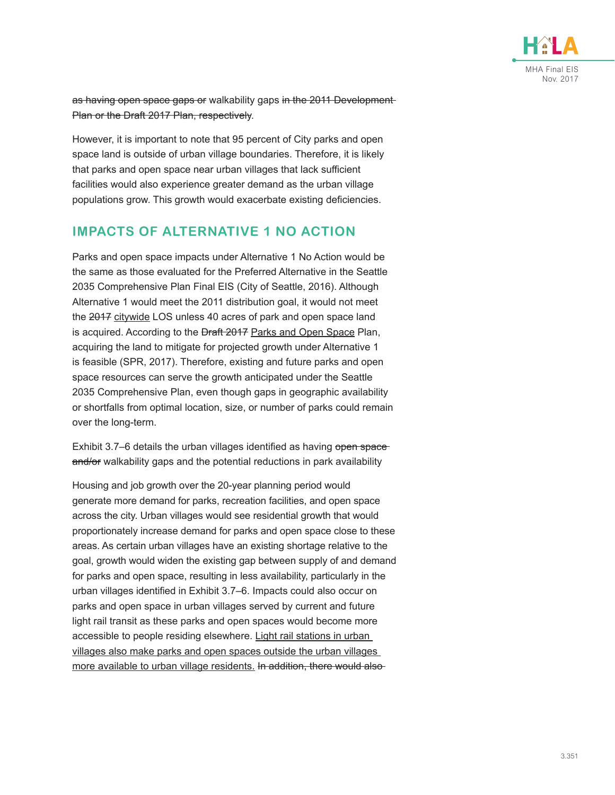

as having open space gaps or walkability gaps in the 2011 Development Plan or the Draft 2017 Plan, respectively.

However, it is important to note that 95 percent of City parks and open space land is outside of urban village boundaries. Therefore, it is likely that parks and open space near urban villages that lack sufficient facilities would also experience greater demand as the urban village populations grow. This growth would exacerbate existing deficiencies.

### **IMPACTS OF ALTERNATIVE 1 NO ACTION**

Parks and open space impacts under Alternative 1 No Action would be the same as those evaluated for the Preferred Alternative in the Seattle 2035 Comprehensive Plan Final EIS (City of Seattle, 2016). Although Alternative 1 would meet the 2011 distribution goal, it would not meet the 2017 citywide LOS unless 40 acres of park and open space land is acquired. According to the **Draft 2017** Parks and Open Space Plan, acquiring the land to mitigate for projected growth under Alternative 1 is feasible (SPR, 2017). Therefore, existing and future parks and open space resources can serve the growth anticipated under the Seattle 2035 Comprehensive Plan, even though gaps in geographic availability or shortfalls from optimal location, size, or number of parks could remain over the long-term.

[Exhibit 3.7–6](#page-9-0) details the urban villages identified as having open spaceand/or walkability gaps and the potential reductions in park availability

Housing and job growth over the 20-year planning period would generate more demand for parks, recreation facilities, and open space across the city. Urban villages would see residential growth that would proportionately increase demand for parks and open space close to these areas. As certain urban villages have an existing shortage relative to the goal, growth would widen the existing gap between supply of and demand for parks and open space, resulting in less availability, particularly in the urban villages identified in [Exhibit 3.7–6.](#page-9-0) Impacts could also occur on parks and open space in urban villages served by current and future light rail transit as these parks and open spaces would become more accessible to people residing elsewhere. Light rail stations in urban villages also make parks and open spaces outside the urban villages more available to urban village residents. In addition, there would also-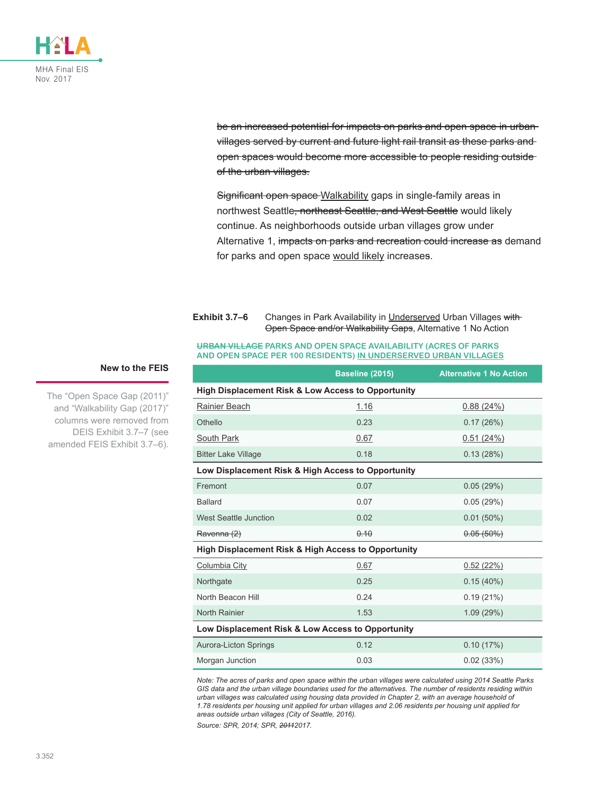

be an increased potential for impacts on parks and open space in urban villages served by current and future light rail transit as these parks and open spaces would become more accessible to people residing outside of the urban villages.

Significant open space Walkability gaps in single-family areas in northwest Seattle<del>, northeast Seattle, and West Seattle</del> would likely continue. As neighborhoods outside urban villages grow under Alternative 1, impacts on parks and recreation could increase as demand for parks and open space would likely increases.

#### **Exhibit 3.7–6** Changes in Park Availability in Underserved Urban Villages with-Open Space and/or Walkability Gaps, Alternative 1 No Action

#### <span id="page-9-0"></span>**URBAN VILLAGE PARKS AND OPEN SPACE AVAILABILITY (ACRES OF PARKS AND OPEN SPACE PER 100 RESIDENTS) IN UNDERSERVED URBAN VILLAGES**

|                                                               | Baseline (2015) | <b>Alternative 1 No Action</b> |  |  |
|---------------------------------------------------------------|-----------------|--------------------------------|--|--|
| <b>High Displacement Risk &amp; Low Access to Opportunity</b> |                 |                                |  |  |
| Rainier Beach                                                 | 1.16            | 0.88(24%)                      |  |  |
| Othello                                                       | 0.23            | 0.17(26%)                      |  |  |
| <b>South Park</b>                                             | 0.67            | 0.51(24%)                      |  |  |
| <b>Bitter Lake Village</b>                                    | 0.18            | 0.13(28%)                      |  |  |
| Low Displacement Risk & High Access to Opportunity            |                 |                                |  |  |
| Fremont                                                       | 0.07            | 0.05(29%)                      |  |  |
| <b>Ballard</b>                                                | 0.07            | 0.05(29%)                      |  |  |
| <b>West Seattle Junction</b>                                  | 0.02            | $0.01(50\%)$                   |  |  |
| Ravenna (2)                                                   | 0.10            | $0.05(50\%)$                   |  |  |
| High Displacement Risk & High Access to Opportunity           |                 |                                |  |  |
| Columbia City                                                 | 0.67            | 0.52(22%)                      |  |  |
| Northgate                                                     | 0.25            | 0.15(40%)                      |  |  |
| North Beacon Hill                                             | 0.24            | 0.19(21%)                      |  |  |
| North Rainier                                                 | 1.53            | 1.09(29%)                      |  |  |
| Low Displacement Risk & Low Access to Opportunity             |                 |                                |  |  |
| Aurora-Licton Springs                                         | 0.12            | 0.10(17%)                      |  |  |
| Morgan Junction                                               | 0.03            | 0.02(33%)                      |  |  |

*Note: The acres of parks and open space within the urban villages were calculated using 2014 Seattle Parks GIS data and the urban village boundaries used for the alternatives. The number of residents residing within urban villages was calculated using housing data provided in Chapter 2, with an average household of 1.78 residents per housing unit applied for urban villages and 2.06 residents per housing unit applied for areas outside urban villages (City of Seattle, 2016).*

*Source: SPR, 2014; SPR, 20112017.*

#### **New to the FEIS**

The "Open Space Gap (2011)" and "Walkability Gap (2017)" columns were removed from DEIS Exhibit 3.7–7 (see amended FEIS [Exhibit 3.7–6](#page-9-0)).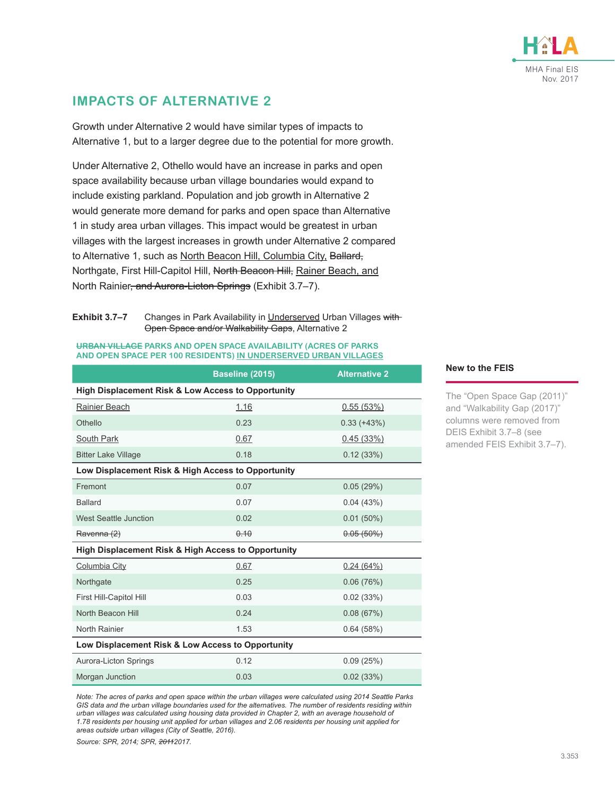

### **IMPACTS OF ALTERNATIVE 2**

Growth under Alternative 2 would have similar types of impacts to Alternative 1, but to a larger degree due to the potential for more growth.

Under Alternative 2, Othello would have an increase in parks and open space availability because urban village boundaries would expand to include existing parkland. Population and job growth in Alternative 2 would generate more demand for parks and open space than Alternative 1 in study area urban villages. This impact would be greatest in urban villages with the largest increases in growth under Alternative 2 compared to Alternative 1, such as North Beacon Hill, Columbia City, Ballard, Northgate, First Hill-Capitol Hill, North Beacon Hill, Rainer Beach, and North Rainier, and Aurora-Licton Springs (Exhibit 3.7-7).

<span id="page-10-0"></span>**Exhibit 3.7–7** Changes in Park Availability in Underserved Urban Villages with-Open Space and/or Walkability Gaps, Alternative 2

#### **URBAN VILLAGE PARKS AND OPEN SPACE AVAILABILITY (ACRES OF PARKS AND OPEN SPACE PER 100 RESIDENTS) IN UNDERSERVED URBAN VILLAGES**

|                                                     | Baseline (2015) | <b>Alternative 2</b> |  |  |
|-----------------------------------------------------|-----------------|----------------------|--|--|
| High Displacement Risk & Low Access to Opportunity  |                 |                      |  |  |
| Rainier Beach                                       | 1.16            | 0.55(53%)            |  |  |
| Othello                                             | 0.23            | $0.33 (+43%)$        |  |  |
| South Park                                          | 0.67            | 0.45(33%)            |  |  |
| <b>Bitter Lake Village</b>                          | 0.18            | 0.12(33%)            |  |  |
| Low Displacement Risk & High Access to Opportunity  |                 |                      |  |  |
| Fremont                                             | 0.07            | 0.05(29%)            |  |  |
| <b>Ballard</b>                                      | 0.07            | 0.04(43%)            |  |  |
| <b>West Seattle Junction</b>                        | 0.02            | $0.01(50\%)$         |  |  |
| Ravenna (2)                                         | 0.10            | $0.05(50\%)$         |  |  |
| High Displacement Risk & High Access to Opportunity |                 |                      |  |  |
| Columbia City                                       | 0.67            | 0.24(64%)            |  |  |
| Northgate                                           | 0.25            | 0.06(76%)            |  |  |
| First Hill-Capitol Hill                             | 0.03            | 0.02(33%)            |  |  |
| North Beacon Hill                                   | 0.24            | 0.08(67%)            |  |  |
| North Rainier                                       | 1.53            | 0.64(58%)            |  |  |
| Low Displacement Risk & Low Access to Opportunity   |                 |                      |  |  |
| Aurora-Licton Springs                               | 0.12            | 0.09(25%)            |  |  |
| Morgan Junction                                     | 0.03            | 0.02(33%)            |  |  |

*Note: The acres of parks and open space within the urban villages were calculated using 2014 Seattle Parks GIS data and the urban village boundaries used for the alternatives. The number of residents residing within urban villages was calculated using housing data provided in Chapter 2, with an average household of 1.78 residents per housing unit applied for urban villages and 2.06 residents per housing unit applied for areas outside urban villages (City of Seattle, 2016).*

*Source: SPR, 2014; SPR, 20112017.*

#### **New to the FEIS**

The "Open Space Gap (2011)" and "Walkability Gap (2017)" columns were removed from DEIS Exhibit 3.7–8 (see amended FEIS [Exhibit 3.7–7](#page-10-0)).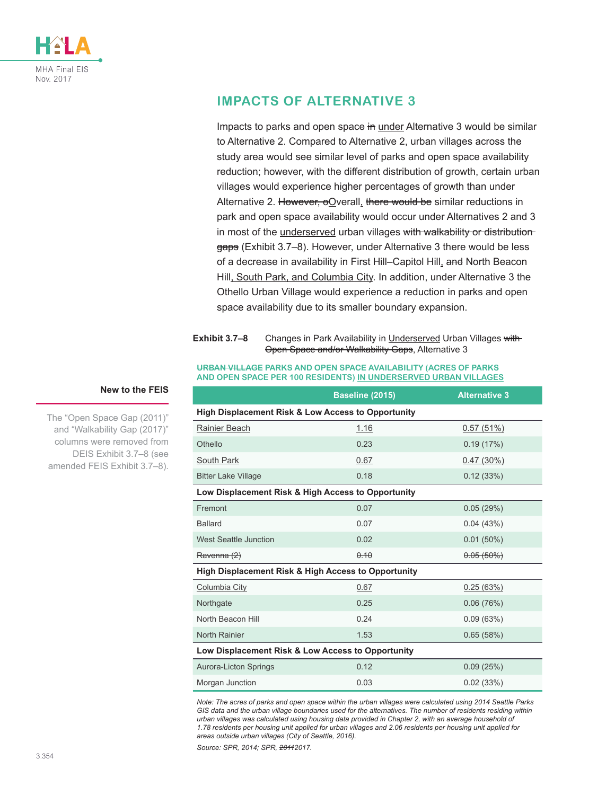

### **IMPACTS OF ALTERNATIVE 3**

Impacts to parks and open space in under Alternative 3 would be similar to Alternative 2. Compared to Alternative 2, urban villages across the study area would see similar level of parks and open space availability reduction; however, with the different distribution of growth, certain urban villages would experience higher percentages of growth than under Alternative 2. However,  $\Theta$ Overall, there would be similar reductions in park and open space availability would occur under Alternatives 2 and 3 in most of the underserved urban villages with walkability or distribution-gaps ([Exhibit 3.7–8\)](#page-11-0). However, under Alternative 3 there would be less of a decrease in availability in First Hill–Capitol Hill, and North Beacon Hill, South Park, and Columbia City. In addition, under Alternative 3 the Othello Urban Village would experience a reduction in parks and open space availability due to its smaller boundary expansion.

#### <span id="page-11-0"></span>**Exhibit 3.7–8** Changes in Park Availability in Underserved Urban Villages with Open Space and/or Walkability Gaps, Alternative 3

#### **URBAN VILLAGE PARKS AND OPEN SPACE AVAILABILITY (ACRES OF PARKS AND OPEN SPACE PER 100 RESIDENTS) IN UNDERSERVED URBAN VILLAGES**

|                                                     | Baseline (2015)                                    | <b>Alternative 3</b> |  |  |  |
|-----------------------------------------------------|----------------------------------------------------|----------------------|--|--|--|
| High Displacement Risk & Low Access to Opportunity  |                                                    |                      |  |  |  |
| Rainier Beach                                       | 1.16                                               | 0.57(51%)            |  |  |  |
| Othello                                             | 0.23                                               | 0.19(17%)            |  |  |  |
| South Park                                          | 0.67                                               | 0.47(30%)            |  |  |  |
| <b>Bitter Lake Village</b>                          | 0.18                                               | 0.12(33%)            |  |  |  |
|                                                     | Low Displacement Risk & High Access to Opportunity |                      |  |  |  |
| Fremont                                             | 0.07                                               | 0.05(29%)            |  |  |  |
| <b>Ballard</b>                                      | 0.07                                               | 0.04(43%)            |  |  |  |
| <b>West Seattle Junction</b>                        | 0.02                                               | $0.01(50\%)$         |  |  |  |
| Ravenna (2)                                         | 0.10                                               | $0.05(50\%)$         |  |  |  |
| High Displacement Risk & High Access to Opportunity |                                                    |                      |  |  |  |
| Columbia City                                       | 0.67                                               | 0.25(63%)            |  |  |  |
| Northgate                                           | 0.25                                               | 0.06(76%)            |  |  |  |
| North Beacon Hill                                   | 0.24                                               | 0.09(63%)            |  |  |  |
| North Rainier                                       | 1.53                                               | 0.65(58%)            |  |  |  |
| Low Displacement Risk & Low Access to Opportunity   |                                                    |                      |  |  |  |
| Aurora-Licton Springs                               | 0.12                                               | 0.09(25%)            |  |  |  |
| Morgan Junction                                     | 0.03                                               | 0.02(33%)            |  |  |  |

*Note: The acres of parks and open space within the urban villages were calculated using 2014 Seattle Parks GIS data and the urban village boundaries used for the alternatives. The number of residents residing within urban villages was calculated using housing data provided in Chapter 2, with an average household of 1.78 residents per housing unit applied for urban villages and 2.06 residents per housing unit applied for areas outside urban villages (City of Seattle, 2016).*

*Source: SPR, 2014; SPR, 20112017.*

#### **New to the FEIS**

The "Open Space Gap (2011)" and "Walkability Gap (2017)" columns were removed from DEIS Exhibit 3.7–8 (see amended FEIS [Exhibit 3.7–8](#page-11-0)).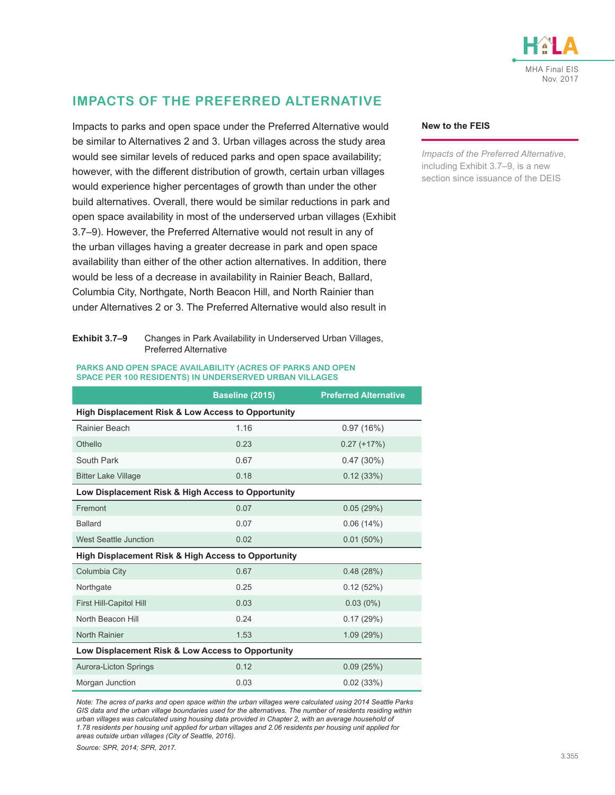

### **IMPACTS OF THE PREFERRED ALTERNATIVE**

Impacts to parks and open space under the Preferred Alternative would be similar to Alternatives 2 and 3. Urban villages across the study area would see similar levels of reduced parks and open space availability; however, with the different distribution of growth, certain urban villages would experience higher percentages of growth than under the other build alternatives. Overall, there would be similar reductions in park and open space availability in most of the underserved urban villages [\(Exhibit](#page-12-0)  [3.7–9](#page-12-0)). However, the Preferred Alternative would not result in any of the urban villages having a greater decrease in park and open space availability than either of the other action alternatives. In addition, there would be less of a decrease in availability in Rainier Beach, Ballard, Columbia City, Northgate, North Beacon Hill, and North Rainier than under Alternatives 2 or 3. The Preferred Alternative would also result in

#### <span id="page-12-0"></span>**Exhibit 3.7–9** Changes in Park Availability in Underserved Urban Villages, Preferred Alternative

#### **PARKS AND OPEN SPACE AVAILABILITY (ACRES OF PARKS AND OPEN SPACE PER 100 RESIDENTS) IN UNDERSERVED URBAN VILLAGES**

|                                                     | Baseline (2015) | <b>Preferred Alternative</b> |  |  |
|-----------------------------------------------------|-----------------|------------------------------|--|--|
| High Displacement Risk & Low Access to Opportunity  |                 |                              |  |  |
| Rainier Beach                                       | 1.16            | 0.97(16%)                    |  |  |
| Othello                                             | 0.23            | $0.27 (+17%)$                |  |  |
| South Park                                          | 0.67            | $0.47(30\%)$                 |  |  |
| <b>Bitter Lake Village</b>                          | 0.18            | 0.12(33%)                    |  |  |
| Low Displacement Risk & High Access to Opportunity  |                 |                              |  |  |
| Fremont                                             | 0.07            | 0.05(29%)                    |  |  |
| <b>Ballard</b>                                      | 0.07            | 0.06(14%)                    |  |  |
| <b>West Seattle Junction</b>                        | 0.02            | $0.01(50\%)$                 |  |  |
| High Displacement Risk & High Access to Opportunity |                 |                              |  |  |
| Columbia City                                       | 0.67            | 0.48(28%)                    |  |  |
| Northgate                                           | 0.25            | 0.12(52%)                    |  |  |
| First Hill-Capitol Hill                             | 0.03            | $0.03(0\%)$                  |  |  |
| North Beacon Hill                                   | 0.24            | 0.17(29%)                    |  |  |
| <b>North Rainier</b>                                | 1.53            | 1.09(29%)                    |  |  |
| Low Displacement Risk & Low Access to Opportunity   |                 |                              |  |  |
| <b>Aurora-Licton Springs</b>                        | 0.12            | 0.09(25%)                    |  |  |
| Morgan Junction                                     | 0.03            | 0.02(33%)                    |  |  |

*Note: The acres of parks and open space within the urban villages were calculated using 2014 Seattle Parks GIS data and the urban village boundaries used for the alternatives. The number of residents residing within urban villages was calculated using housing data provided in Chapter 2, with an average household of 1.78 residents per housing unit applied for urban villages and 2.06 residents per housing unit applied for areas outside urban villages (City of Seattle, 2016).*

*Source: SPR, 2014; SPR, 2017.*

#### **New to the FEIS**

*Impacts of the Preferred Alternative*, including [Exhibit 3.7–9](#page-12-0), is a new section since issuance of the DEIS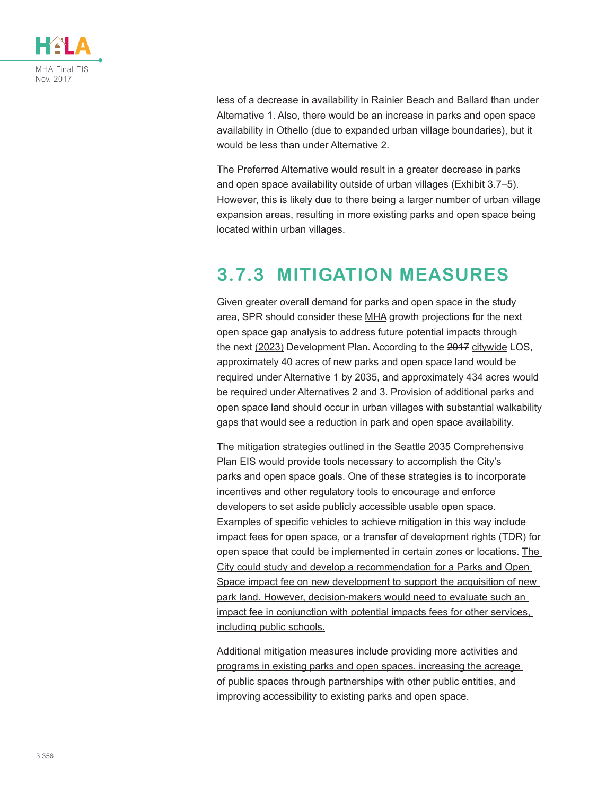

less of a decrease in availability in Rainier Beach and Ballard than under Alternative 1. Also, there would be an increase in parks and open space availability in Othello (due to expanded urban village boundaries), but it would be less than under Alternative 2.

The Preferred Alternative would result in a greater decrease in parks and open space availability outside of urban villages ([Exhibit 3.7–5](#page-7-0)). However, this is likely due to there being a larger number of urban village expansion areas, resulting in more existing parks and open space being located within urban villages.

## **3.7.3 MITIGATION MEASURES**

Given greater overall demand for parks and open space in the study area, SPR should consider these MHA growth projections for the next open space gap analysis to address future potential impacts through the next (2023) Development Plan. According to the 2017 citywide LOS, approximately 40 acres of new parks and open space land would be required under Alternative 1 by 2035, and approximately 434 acres would be required under Alternatives 2 and 3. Provision of additional parks and open space land should occur in urban villages with substantial walkability gaps that would see a reduction in park and open space availability.

The mitigation strategies outlined in the Seattle 2035 Comprehensive Plan EIS would provide tools necessary to accomplish the City's parks and open space goals. One of these strategies is to incorporate incentives and other regulatory tools to encourage and enforce developers to set aside publicly accessible usable open space. Examples of specific vehicles to achieve mitigation in this way include impact fees for open space, or a transfer of development rights (TDR) for open space that could be implemented in certain zones or locations. The City could study and develop a recommendation for a Parks and Open Space impact fee on new development to support the acquisition of new park land. However, decision-makers would need to evaluate such an impact fee in conjunction with potential impacts fees for other services, including public schools.

Additional mitigation measures include providing more activities and programs in existing parks and open spaces, increasing the acreage of public spaces through partnerships with other public entities, and improving accessibility to existing parks and open space.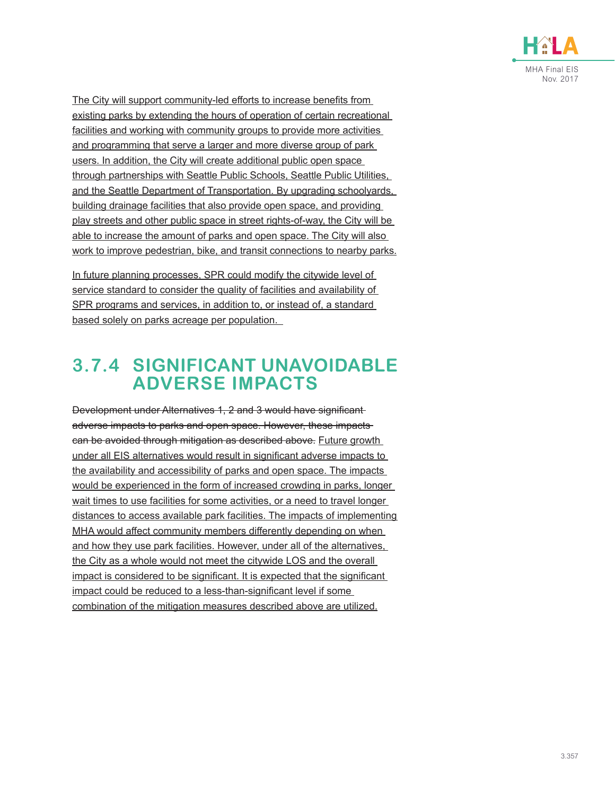

The City will support community-led efforts to increase benefits from existing parks by extending the hours of operation of certain recreational facilities and working with community groups to provide more activities and programming that serve a larger and more diverse group of park users. In addition, the City will create additional public open space through partnerships with Seattle Public Schools, Seattle Public Utilities, and the Seattle Department of Transportation. By upgrading schoolyards, building drainage facilities that also provide open space, and providing play streets and other public space in street rights-of-way, the City will be able to increase the amount of parks and open space. The City will also work to improve pedestrian, bike, and transit connections to nearby parks.

In future planning processes, SPR could modify the citywide level of service standard to consider the quality of facilities and availability of SPR programs and services, in addition to, or instead of, a standard based solely on parks acreage per population.

## **3.7.4 SIGNIFICANT UNAVOIDABLE ADVERSE IMPACTS**

Development under Alternatives 1, 2 and 3 would have significant adverse impacts to parks and open space. However, these impacts can be avoided through mitigation as described above. Future growth under all EIS alternatives would result in significant adverse impacts to the availability and accessibility of parks and open space. The impacts would be experienced in the form of increased crowding in parks, longer wait times to use facilities for some activities, or a need to travel longer distances to access available park facilities. The impacts of implementing MHA would affect community members differently depending on when and how they use park facilities. However, under all of the alternatives, the City as a whole would not meet the citywide LOS and the overall impact is considered to be significant. It is expected that the significant impact could be reduced to a less-than-significant level if some combination of the mitigation measures described above are utilized.